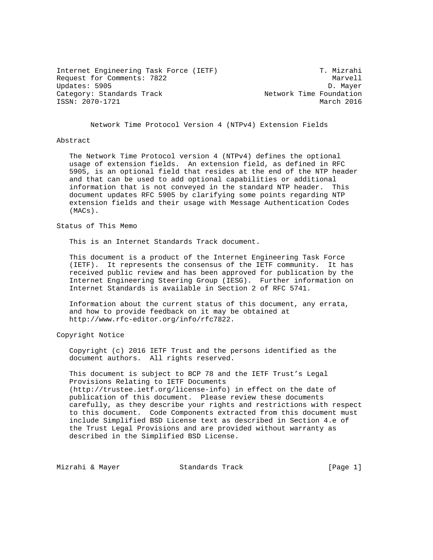Internet Engineering Task Force (IETF) T. Mizrahi Request for Comments: 7822 Marvell Updates: 5905 D. Mayer Category: Standards Track Network Time Foundation ISSN: 2070-1721 March 2016

Network Time Protocol Version 4 (NTPv4) Extension Fields

## Abstract

 The Network Time Protocol version 4 (NTPv4) defines the optional usage of extension fields. An extension field, as defined in RFC 5905, is an optional field that resides at the end of the NTP header and that can be used to add optional capabilities or additional information that is not conveyed in the standard NTP header. This document updates RFC 5905 by clarifying some points regarding NTP extension fields and their usage with Message Authentication Codes (MACs).

Status of This Memo

This is an Internet Standards Track document.

 This document is a product of the Internet Engineering Task Force (IETF). It represents the consensus of the IETF community. It has received public review and has been approved for publication by the Internet Engineering Steering Group (IESG). Further information on Internet Standards is available in Section 2 of RFC 5741.

 Information about the current status of this document, any errata, and how to provide feedback on it may be obtained at http://www.rfc-editor.org/info/rfc7822.

Copyright Notice

 Copyright (c) 2016 IETF Trust and the persons identified as the document authors. All rights reserved.

 This document is subject to BCP 78 and the IETF Trust's Legal Provisions Relating to IETF Documents (http://trustee.ietf.org/license-info) in effect on the date of publication of this document. Please review these documents carefully, as they describe your rights and restrictions with respect to this document. Code Components extracted from this document must include Simplified BSD License text as described in Section 4.e of the Trust Legal Provisions and are provided without warranty as described in the Simplified BSD License.

Mizrahi & Mayer Standards Track [Page 1]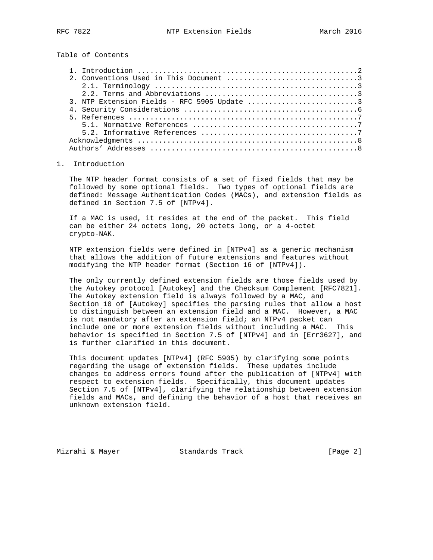Table of Contents

| 3. NTP Extension Fields - RFC 5905 Update 3 |  |
|---------------------------------------------|--|
|                                             |  |
|                                             |  |
|                                             |  |
|                                             |  |
|                                             |  |
|                                             |  |

#### 1. Introduction

 The NTP header format consists of a set of fixed fields that may be followed by some optional fields. Two types of optional fields are defined: Message Authentication Codes (MACs), and extension fields as defined in Section 7.5 of [NTPv4].

 If a MAC is used, it resides at the end of the packet. This field can be either 24 octets long, 20 octets long, or a 4-octet crypto-NAK.

 NTP extension fields were defined in [NTPv4] as a generic mechanism that allows the addition of future extensions and features without modifying the NTP header format (Section 16 of [NTPv4]).

 The only currently defined extension fields are those fields used by the Autokey protocol [Autokey] and the Checksum Complement [RFC7821]. The Autokey extension field is always followed by a MAC, and Section 10 of [Autokey] specifies the parsing rules that allow a host to distinguish between an extension field and a MAC. However, a MAC is not mandatory after an extension field; an NTPv4 packet can include one or more extension fields without including a MAC. This behavior is specified in Section 7.5 of [NTPv4] and in [Err3627], and is further clarified in this document.

 This document updates [NTPv4] (RFC 5905) by clarifying some points regarding the usage of extension fields. These updates include changes to address errors found after the publication of [NTPv4] with respect to extension fields. Specifically, this document updates Section 7.5 of [NTPv4], clarifying the relationship between extension fields and MACs, and defining the behavior of a host that receives an unknown extension field.

Mizrahi & Mayer Standards Track (Page 2)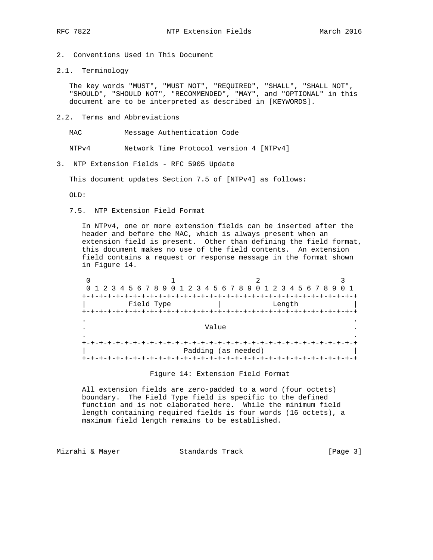- 2. Conventions Used in This Document
- 2.1. Terminology

 The key words "MUST", "MUST NOT", "REQUIRED", "SHALL", "SHALL NOT", "SHOULD", "SHOULD NOT", "RECOMMENDED", "MAY", and "OPTIONAL" in this document are to be interpreted as described in [KEYWORDS].

2.2. Terms and Abbreviations

MAC Message Authentication Code

NTPv4 Network Time Protocol version 4 [NTPv4]

3. NTP Extension Fields - RFC 5905 Update

This document updates Section 7.5 of [NTPv4] as follows:

OLD:

7.5. NTP Extension Field Format

 In NTPv4, one or more extension fields can be inserted after the header and before the MAC, which is always present when an extension field is present. Other than defining the field format, this document makes no use of the field contents. An extension field contains a request or response message in the format shown in Figure 14.

|           | 0 1 2 3 4 5 6 7 8 9 0 1 2 3 4 5 6 7 8 9 0 1 2 3 4 5 6 7 8 9 |                     |        |  |  |  |  |
|-----------|-------------------------------------------------------------|---------------------|--------|--|--|--|--|
|           |                                                             |                     |        |  |  |  |  |
|           | Field Type                                                  |                     | Length |  |  |  |  |
|           |                                                             |                     |        |  |  |  |  |
| $\bullet$ |                                                             |                     |        |  |  |  |  |
|           | Value                                                       |                     |        |  |  |  |  |
| $\bullet$ |                                                             |                     |        |  |  |  |  |
|           |                                                             |                     |        |  |  |  |  |
|           |                                                             | Padding (as needed) |        |  |  |  |  |
| $+ -$     |                                                             |                     |        |  |  |  |  |

Figure 14: Extension Field Format

 All extension fields are zero-padded to a word (four octets) boundary. The Field Type field is specific to the defined function and is not elaborated here. While the minimum field length containing required fields is four words (16 octets), a maximum field length remains to be established.

Mizrahi & Mayer **Standards Track** [Page 3]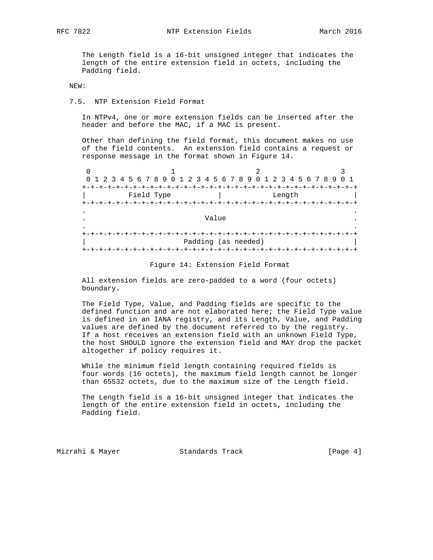The Length field is a 16-bit unsigned integer that indicates the length of the entire extension field in octets, including the Padding field.

NEW:

## 7.5. NTP Extension Field Format

 In NTPv4, one or more extension fields can be inserted after the header and before the MAC, if a MAC is present.

 Other than defining the field format, this document makes no use of the field contents. An extension field contains a request or response message in the format shown in Figure 14.

|             | 0 1 2 3 4 5 6 7 8 9 0 1 2 3 4 5 6 7 8 9 0 1 2 3 4 5 6 7 8 9 |                     |        |  |  |
|-------------|-------------------------------------------------------------|---------------------|--------|--|--|
|             |                                                             |                     |        |  |  |
|             | Field Type                                                  |                     | Length |  |  |
| $+$         |                                                             |                     |        |  |  |
| $\bullet$   |                                                             |                     |        |  |  |
|             | Value                                                       |                     |        |  |  |
| $\bullet$   |                                                             |                     |        |  |  |
| ナーナーナーナーナーナ |                                                             |                     |        |  |  |
|             |                                                             | Padding (as needed) |        |  |  |
|             |                                                             |                     |        |  |  |

## Figure 14: Extension Field Format

 All extension fields are zero-padded to a word (four octets) boundary.

 The Field Type, Value, and Padding fields are specific to the defined function and are not elaborated here; the Field Type value is defined in an IANA registry, and its Length, Value, and Padding values are defined by the document referred to by the registry. If a host receives an extension field with an unknown Field Type, the host SHOULD ignore the extension field and MAY drop the packet altogether if policy requires it.

 While the minimum field length containing required fields is four words (16 octets), the maximum field length cannot be longer than 65532 octets, due to the maximum size of the Length field.

 The Length field is a 16-bit unsigned integer that indicates the length of the entire extension field in octets, including the Padding field.

Mizrahi & Mayer Standards Track [Page 4]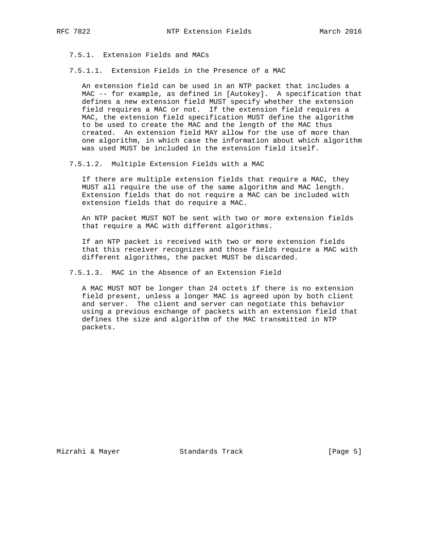7.5.1. Extension Fields and MACs

7.5.1.1. Extension Fields in the Presence of a MAC

 An extension field can be used in an NTP packet that includes a MAC -- for example, as defined in [Autokey]. A specification that defines a new extension field MUST specify whether the extension field requires a MAC or not. If the extension field requires a MAC, the extension field specification MUST define the algorithm to be used to create the MAC and the length of the MAC thus created. An extension field MAY allow for the use of more than one algorithm, in which case the information about which algorithm was used MUST be included in the extension field itself.

7.5.1.2. Multiple Extension Fields with a MAC

 If there are multiple extension fields that require a MAC, they MUST all require the use of the same algorithm and MAC length. Extension fields that do not require a MAC can be included with extension fields that do require a MAC.

 An NTP packet MUST NOT be sent with two or more extension fields that require a MAC with different algorithms.

 If an NTP packet is received with two or more extension fields that this receiver recognizes and those fields require a MAC with different algorithms, the packet MUST be discarded.

7.5.1.3. MAC in the Absence of an Extension Field

 A MAC MUST NOT be longer than 24 octets if there is no extension field present, unless a longer MAC is agreed upon by both client and server. The client and server can negotiate this behavior using a previous exchange of packets with an extension field that defines the size and algorithm of the MAC transmitted in NTP packets.

Mizrahi & Mayer **Standards Track** [Page 5]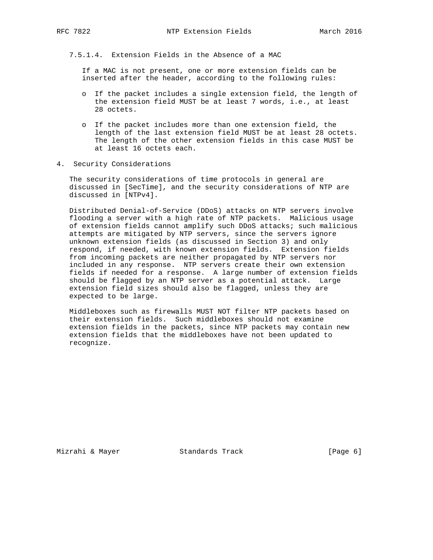7.5.1.4. Extension Fields in the Absence of a MAC

 If a MAC is not present, one or more extension fields can be inserted after the header, according to the following rules:

- o If the packet includes a single extension field, the length of the extension field MUST be at least 7 words, i.e., at least 28 octets.
- o If the packet includes more than one extension field, the length of the last extension field MUST be at least 28 octets. The length of the other extension fields in this case MUST be at least 16 octets each.
- 4. Security Considerations

 The security considerations of time protocols in general are discussed in [SecTime], and the security considerations of NTP are discussed in [NTPv4].

 Distributed Denial-of-Service (DDoS) attacks on NTP servers involve flooding a server with a high rate of NTP packets. Malicious usage of extension fields cannot amplify such DDoS attacks; such malicious attempts are mitigated by NTP servers, since the servers ignore unknown extension fields (as discussed in Section 3) and only respond, if needed, with known extension fields. Extension fields from incoming packets are neither propagated by NTP servers nor included in any response. NTP servers create their own extension fields if needed for a response. A large number of extension fields should be flagged by an NTP server as a potential attack. Large extension field sizes should also be flagged, unless they are expected to be large.

 Middleboxes such as firewalls MUST NOT filter NTP packets based on their extension fields. Such middleboxes should not examine extension fields in the packets, since NTP packets may contain new extension fields that the middleboxes have not been updated to recognize.

Mizrahi & Mayer **Standards Track** [Page 6]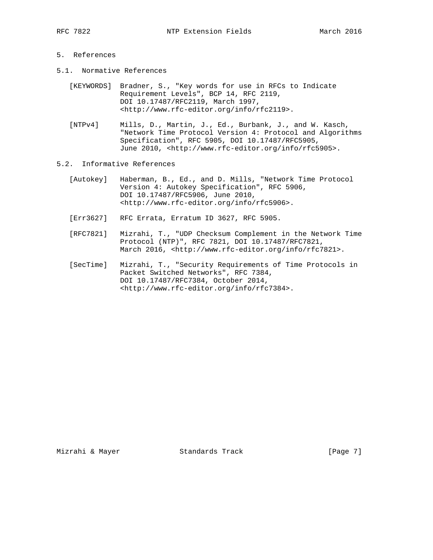# 5. References

- 5.1. Normative References
	- [KEYWORDS] Bradner, S., "Key words for use in RFCs to Indicate Requirement Levels", BCP 14, RFC 2119, DOI 10.17487/RFC2119, March 1997, <http://www.rfc-editor.org/info/rfc2119>.
	- [NTPv4] Mills, D., Martin, J., Ed., Burbank, J., and W. Kasch, "Network Time Protocol Version 4: Protocol and Algorithms Specification", RFC 5905, DOI 10.17487/RFC5905, June 2010, <http://www.rfc-editor.org/info/rfc5905>.
- 5.2. Informative References
	- [Autokey] Haberman, B., Ed., and D. Mills, "Network Time Protocol Version 4: Autokey Specification", RFC 5906, DOI 10.17487/RFC5906, June 2010, <http://www.rfc-editor.org/info/rfc5906>.
	- [Err3627] RFC Errata, Erratum ID 3627, RFC 5905.
	- [RFC7821] Mizrahi, T., "UDP Checksum Complement in the Network Time Protocol (NTP)", RFC 7821, DOI 10.17487/RFC7821, March 2016, <http://www.rfc-editor.org/info/rfc7821>.
	- [SecTime] Mizrahi, T., "Security Requirements of Time Protocols in Packet Switched Networks", RFC 7384, DOI 10.17487/RFC7384, October 2014, <http://www.rfc-editor.org/info/rfc7384>.

Mizrahi & Mayer **Standards Track** [Page 7]